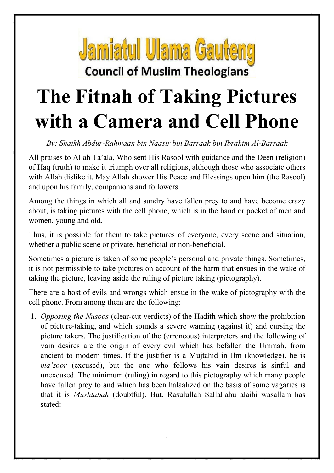

**Council of Muslim Theologians** 

## **The Fitnah of Taking Pictures with a Camera and Cell Phone**

*By: Shaikh Abdur-Rahmaan bin Naasir bin Barraak bin Ibrahim Al-Barraak* 

All praises to Allah Ta'ala, Who sent His Rasool with guidance and the Deen (religion) of Haq (truth) to make it triumph over all religions, although those who associate others with Allah dislike it. May Allah shower His Peace and Blessings upon him (the Rasool) and upon his family, companions and followers.

Among the things in which all and sundry have fallen prey to and have become crazy about, is taking pictures with the cell phone, which is in the hand or pocket of men and women, young and old.

Thus, it is possible for them to take pictures of everyone, every scene and situation, whether a public scene or private, beneficial or non-beneficial.

Sometimes a picture is taken of some people's personal and private things. Sometimes, it is not permissible to take pictures on account of the harm that ensues in the wake of taking the picture, leaving aside the ruling of picture taking (pictography).

There are a host of evils and wrongs which ensue in the wake of pictography with the cell phone. From among them are the following:

1. *Opposing the Nusoos* (clear-cut verdicts) of the Hadith which show the prohibition of picture-taking, and which sounds a severe warning (against it) and cursing the picture takers. The justification of the (erroneous) interpreters and the following of vain desires are the origin of every evil which has befallen the Ummah, from ancient to modern times. If the justifier is a Mujtahid in Ilm (knowledge), he is *ma'zoor* (excused), but the one who follows his vain desires is sinful and unexcused. The minimum (ruling) in regard to this pictography which many people have fallen prey to and which has been halaalized on the basis of some vagaries is that it is *Mushtabah* (doubtful). But, Rasulullah Sallallahu alaihi wasallam has stated: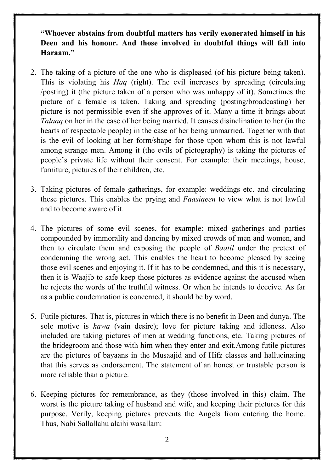**"Whoever abstains from doubtful matters has verily exonerated himself in his Deen and his honour. And those involved in doubtful things will fall into Haraam."** 

- 2. The taking of a picture of the one who is displeased (of his picture being taken). This is violating his *Haq* (right). The evil increases by spreading (circulating /posting) it (the picture taken of a person who was unhappy of it). Sometimes the picture of a female is taken. Taking and spreading (posting/broadcasting) her picture is not permissible even if she approves of it. Many a time it brings about *Talaaq* on her in the case of her being married. It causes disinclination to her (in the hearts of respectable people) in the case of her being unmarried. Together with that is the evil of looking at her form/shape for those upon whom this is not lawful among strange men. Among it (the evils of pictography) is taking the pictures of people's private life without their consent. For example: their meetings, house, furniture, pictures of their children, etc.
- 3. Taking pictures of female gatherings, for example: weddings etc. and circulating these pictures. This enables the prying and *Faasiqeen* to view what is not lawful and to become aware of it.
- 4. The pictures of some evil scenes, for example: mixed gatherings and parties compounded by immorality and dancing by mixed crowds of men and women, and then to circulate them and exposing the people of *Baatil* under the pretext of condemning the wrong act. This enables the heart to become pleased by seeing those evil scenes and enjoying it. If it has to be condemned, and this it is necessary, then it is Waajib to safe keep those pictures as evidence against the accused when he rejects the words of the truthful witness. Or when he intends to deceive. As far as a public condemnation is concerned, it should be by word.
- 5. Futile pictures. That is, pictures in which there is no benefit in Deen and dunya. The sole motive is *hawa* (vain desire); love for picture taking and idleness. Also included are taking pictures of men at wedding functions, etc. Taking pictures of the bridegroom and those with him when they enter and exit.Among futile pictures are the pictures of bayaans in the Musaajid and of Hifz classes and hallucinating that this serves as endorsement. The statement of an honest or trustable person is more reliable than a picture.
- 6. Keeping pictures for remembrance, as they (those involved in this) claim. The worst is the picture taking of husband and wife, and keeping their pictures for this purpose. Verily, keeping pictures prevents the Angels from entering the home. Thus, Nabi Sallallahu alaihi wasallam: